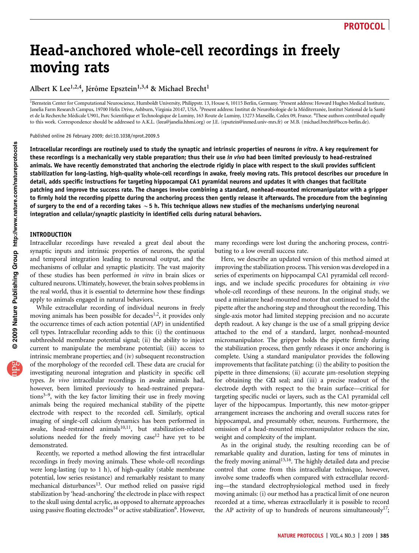# Head-anchored whole-cell recordings in freely moving rats

Albert K Lee<sup>1,2,4</sup>, Jérôme Epsztein<sup>1,3,4</sup> & Michael Brecht<sup>1</sup>

<sup>1</sup>Bernstein Center for Computational Neuroscience, Humboldt University, Philippstr. 13, House 6, 10115 Berlin, Germany. <sup>2</sup>Present address: Howard Hughes Medical Institute, Janelia Farm Research Campus, 19700 Helix Drive, Ashburn, Virginia 20147, USA. <sup>3</sup>Present address: Institut de Neurobiologie de la Méditerranée, Institut National de la Santé et de la Recherche Médicale U901, Parc Scientifique et Technologique de Luminy, 163 Route de Luminy, 13273 Marseille, Cedex 09, France. <sup>4</sup>These authors contributed equally to this work. Correspondence should be addressed to A.K.L. (leea@janelia.hhmi.org) or J.E. (epsztein@inmed.univ-mrs.fr) or M.B. (michael.brecht@bccn-berlin.de).

Published online 26 February 2009; doi:10.1038/nprot.2009.5

Intracellular recordings are routinely used to study the synaptic and intrinsic properties of neurons in vitro. A key requirement for these recordings is a mechanically very stable preparation; thus their use in vivo had been limited previously to head-restrained animals. We have recently demonstrated that anchoring the electrode rigidly in place with respect to the skull provides sufficient stabilization for long-lasting, high-quality whole-cell recordings in awake, freely moving rats. This protocol describes our procedure in detail, adds specific instructions for targeting hippocampal CA1 pyramidal neurons and updates it with changes that facilitate patching and improve the success rate. The changes involve combining a standard, nonhead-mounted micromanipulator with a gripper to firmly hold the recording pipette during the anchoring process then gently release it afterwards. The procedure from the beginning of surgery to the end of a recording takes  $\sim$  5 h. This technique allows new studies of the mechanisms underlying neuronal integration and cellular/synaptic plasticity in identified cells during natural behaviors.

#### INTRODUCTION

Intracellular recordings have revealed a great deal about the synaptic inputs and intrinsic properties of neurons, the spatial and temporal integration leading to neuronal output, and the mechanisms of cellular and synaptic plasticity. The vast majority of these studies has been performed in vitro in brain slices or cultured neurons. Ultimately, however, the brain solves problems in the real world, thus it is essential to determine how these findings apply to animals engaged in natural behaviors.

While extracellular recording of individual neurons in freely moving animals has been possible for decades<sup>1,2</sup>, it provides only the occurrence times of each action potential (AP) in unidentified cell types. Intracellular recording adds to this: (i) the continuous subthreshold membrane potential signal; (ii) the ability to inject current to manipulate the membrane potential; (iii) access to intrinsic membrane properties; and (iv) subsequent reconstruction of the morphology of the recorded cell. These data are crucial for investigating neuronal integration and plasticity in specific cell types. In vivo intracellular recordings in awake animals had, however, been limited previously to head-restrained preparations $3-9$ , with the key factor limiting their use in freely moving animals being the required mechanical stability of the pipette electrode with respect to the recorded cell. Similarly, optical imaging of single-cell calcium dynamics has been performed in awake, head-restrained animals $10,11$ , but stabilization-related solutions needed for the freely moving case<sup>12</sup> have yet to be demonstrated.

Recently, we reported a method allowing the first intracellular recordings in freely moving animals. These whole-cell recordings were long-lasting (up to 1 h), of high-quality (stable membrane potential, low series resistance) and remarkably resistant to many mechanical disturbances<sup>13</sup>. Our method relied on passive rigid stabilization by 'head-anchoring' the electrode in place with respect to the skull using dental acrylic, as opposed to alternate approaches using passive floating electrodes<sup>14</sup> or active stabilization<sup>6</sup>. However,

many recordings were lost during the anchoring process, contributing to a low overall success rate.

Here, we describe an updated version of this method aimed at improving the stabilization process. This version was developed in a series of experiments on hippocampal CA1 pyramidal cell recordings, and we include specific procedures for obtaining in vivo whole-cell recordings of these neurons. In the original study, we used a miniature head-mounted motor that continued to hold the pipette after the anchoring step and throughout the recording. This single-axis motor had limited stepping precision and no accurate depth readout. A key change is the use of a small gripping device attached to the end of a standard, larger, nonhead-mounted micromanipulator. The gripper holds the pipette firmly during the stabilization process, then gently releases it once anchoring is complete. Using a standard manipulator provides the following improvements that facilitate patching: (i) the ability to position the pipette in three dimensions; (ii) accurate  $\mu$ m-resolution stepping for obtaining the  $G\Omega$  seal; and (iii) a precise readout of the electrode depth with respect to the brain surface—critical for targeting specific nuclei or layers, such as the CA1 pyramidal cell layer of the hippocampus. Importantly, this new motor-gripper arrangement increases the anchoring and overall success rates for hippocampal, and presumably other, neurons. Furthermore, the omission of a head-mounted micromanipulator reduces the size, weight and complexity of the implant.

As in the original study, the resulting recording can be of remarkable quality and duration, lasting for tens of minutes in the freely moving animal<sup>15,16</sup>. The highly detailed data and precise control that come from this intracellular technique, however, involve some tradeoffs when compared with extracellular recording—the standard electrophysiological method used in freely moving animals: (i) our method has a practical limit of one neuron recorded at a time, whereas extracellularly it is possible to record the AP activity of up to hundreds of neurons simultaneously<sup>17</sup>;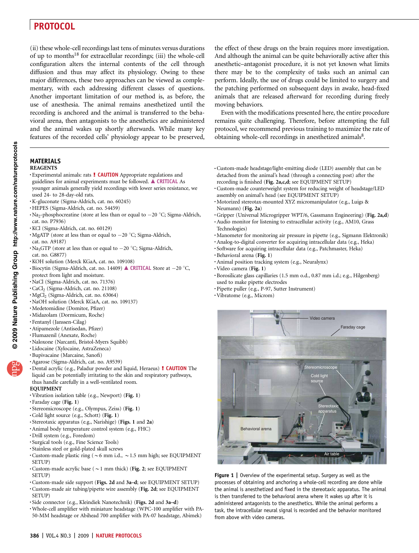(ii) these whole-cell recordings last tens of minutes versus durations of up to months<sup>18</sup> for extracellular recordings; (iii) the whole-cell configuration alters the internal contents of the cell through diffusion and thus may affect its physiology. Owing to these major differences, these two approaches can be viewed as complementary, with each addressing different classes of questions. Another important limitation of our method is, as before, the use of anesthesia. The animal remains anesthetized until the recording is anchored and the animal is transferred to the behavioral arena, then antagonists to the anesthetics are administered and the animal wakes up shortly afterwards. While many key features of the recorded cells' physiology appear to be preserved,

#### MATERIALS

- **REAGENTS**
- .Experimental animals: rats ! CAUTION Appropriate regulations and
- guidelines for animal experiments must be followed.  $\triangle$  CRITICAL As younger animals generally yield recordings with lower series resistance, we used 24- to 28-day-old rats.
- .K-gluconate (Sigma-Aldrich, cat. no. 60245)
- .HEPES (Sigma-Aldrich, cat. no. 54459)
- $\cdot$  Na<sub>2</sub>-phosphocreatine (store at less than or equal to  $-20$  °C; Sigma-Aldrich, cat. no. P7936)
- .KCl (Sigma-Aldrich, cat. no. 60129)
- $\cdot$ MgATP (store at less than or equal to  $-20$  °C; Sigma-Aldrich,
- cat. no. A9187)
- $\cdot$ Na<sub>3</sub>GTP (store at less than or equal to  $-20$  °C; Sigma-Aldrich, cat. no. G8877)
- .KOH solution (Merck KGaA, cat. no. 109108)
- $\cdot$ Biocytin (Sigma-Aldrich, cat. no. 14409)  $\triangle$  CRITICAL Store at -20 °C, protect from light and moisture.
- .NaCl (Sigma-Aldrich, cat. no. 71376)
- 
- 
- . CaCl<sub>2</sub> (Sigma-Aldrich, cat. no. 21108)<br>·MgCl<sub>2</sub> (Sigma-Aldrich, cat. no. 63064)<br>·NaOH solution (Merck KGaA, cat. no. 109137)
- · Medetomidine (Domitor, Pfizer)
- .Midazolam (Dormicum, Roche)
- .Fentanyl (Janssen-Cilag)
- .Atipamezole (Antisedan, Pfizer)
- .Flumazenil (Anexate, Roche)
- .Naloxone (Narcanti, Bristol-Myers Squibb)
- .Lidocaine (Xylocaine, AstraZeneca)
- .Bupivacaine (Marcaine, Sanofi)
- .Agarose (Sigma-Aldrich, cat. no. A9539)
- .Dental acrylic (e.g., Paladur powder and liquid, Heraeus) ! CAUTION The liquid can be potentially irritating to the skin and respiratory pathways, thus handle carefully in a well-ventilated room. EQUIPMENT
- 
- 
- 
- 
- Vibration isolation table (e.g., Newport) (Fig. 1)<br>• Faraday cage (Fig. 1)<br>• Stereomicroscope (e.g., Olympus, Zeiss) (Fig. 1)<br>• Cold light source (e.g., Schott) (Fig. 1)<br>• Stereotaxic apparatus (e.g., Narishige) (Figs.
- 
- .Drill system (e.g., Foredom)
- .Surgical tools (e.g., Fine Science Tools)
- .Stainless steel or gold-plated skull screws
- $\cdot$  Custom-made plastic ring ( $\sim$  6 mm i.d.,  $\sim$  1.5 mm high; see EQUIPMENT SETUP)
- $\cdot$  Custom-made acrylic base ( $\sim$ 1 mm thick) (Fig. 2; see EQUIPMENT SETUP)
- .Custom-made side support (Figs. 2d and 3a–d; see EQUIPMENT SETUP) .Custom-made air tubing/pipette wire assembly (Fig. 2d; see EQUIPMENT
- SETUP)
- .Side connector (e.g., Kleindiek Nanotechnik) (Figs. 2d and 3a–d) .Whole-cell amplifier with miniature headstage (WPC-100 amplifier with PA-
- 50-MM headstage or Abihead 700 amplifier with PA-07 headstage, Abimek)

the effect of these drugs on the brain requires more investigation. And although the animal can be quite behaviorally active after this anesthetic–antagonist procedure, it is not yet known what limits there may be to the complexity of tasks such an animal can perform. Ideally, the use of drugs could be limited to surgery and the patching performed on subsequent days in awake, head-fixed animals that are released afterward for recording during freely moving behaviors.

Even with the modifications presented here, the entire procedure remains quite challenging. Therefore, before attempting the full protocol, we recommend previous training to maximize the rate of obtaining whole-cell recordings in anesthetized animals<sup>8</sup>.

- .Custom-made headstage/light-emitting diode (LED) assembly that can be detached from the animal's head (through a connecting post) after the
- recording is finished (Fig. 2a,c,d; see EQUIPMENT SETUP)<br>
Custom-made counterweight system for reducing weight of headstage/LED assembly on animal's head (see EQUIPMENT SETUP)
- .Motorized stereotax-mounted XYZ micromanipulator (e.g., Luigs &
- Gripper (Universal Microgripper WPT/6, Gassmann Engineering) (Fig. 2a,d) . Audio monitor for listening to extracellular activity (e.g., AM10, Grass
- Technologies)
- .Manometer for monitoring air pressure in pipette (e.g., Sigmann Elektronik)
- .Analog-to-digital converter for acquiring intracellular data (e.g., Heka)
- $\bullet$  Software for acquiring intracellular data (e.g., Patchmaster, Heka)  $\bullet$  Behavioral arena (Fig. 1)
- 
- · Animal position tracking system (e.g., Neuralynx)
- 
- $\cdot$  Video camera (Fig. 1)<br> $\cdot$  Borosilicate glass capillaries (1.5 mm o.d., 0.87 mm i.d.; e.g., Hilgenberg) used to make pipette electrodes
- .Pipette puller (e.g., P-97, Sutter Instrument)
- .Vibratome (e.g., Microm)



Figure 1 | Overview of the experimental setup. Surgery as well as the processes of obtaining and anchoring a whole-cell recording are done while the animal is anesthetized and fixed in the stereotaxic apparatus. The animal is then transferred to the behavioral arena where it wakes up after it is administered antagonists to the anesthetics. While the animal performs a task, the intracellular neural signal is recorded and the behavior monitored from above with video cameras.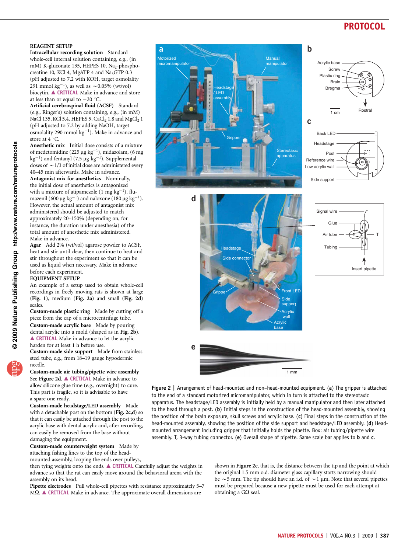#### REAGENT SETUP

Intracellular recording solution Standard whole-cell internal solution containing, e.g., (in mM) K-gluconate 135, HEPES 10, Na<sub>2</sub>-phosphocreatine 10, KCl 4, MgATP 4 and Na<sub>3</sub>GTP 0.3 (pH adjusted to 7.2 with KOH, target osmolality 291 mmol kg<sup>-1</sup>), as well as  $\sim$  0.05% (wt/vol) biocytin.  $\triangle$  CRITICAL Make in advance and store at less than or equal to  $-20$  °C.

Artificial cerebrospinal fluid (ACSF) Standard (e.g., Ringer's) solution containing, e.g., (in mM) NaCl 135, KCl 5.4, HEPES 5, CaCl<sub>2</sub> 1.8 and MgCl<sub>2</sub> 1 (pH adjusted to 7.2 by adding NaOH, target osmolality 290 mmol  $kg^{-1}$ ). Make in advance and store at 4  $^{\circ}$ C.

Anesthetic mix Initial dose consists of a mixture of medetomidine (225 µg kg<sup>-1</sup>), midazolam, (6 mg  $kg^{-1}$ ) and fentanyl (7.5 µg kg<sup>-1</sup>). Supplemental doses of  $\sim$  1/3 of initial dose are administered every 40–45 min afterwards. Make in advance. Antagonist mix for anesthetics Nominally, the initial dose of anesthetics is antagonized with a mixture of atipamezole  $(1 \text{ mg kg}^{-1})$ , flumazenil (600  $\mu$ g kg<sup>-1</sup>) and naloxone (180  $\mu$ g kg<sup>-1</sup>). However, the actual amount of antagonist mix administered should be adjusted to match approximately 20–150% (depending on, for instance, the duration under anesthesia) of the total amount of anesthetic mix administered. Make in advance.

Agar Add 2% (wt/vol) agarose powder to ACSF, heat and stir until clear, then continue to heat and stir throughout the experiment so that it can be used as liquid when necessary. Make in advance before each experiment.

#### EQUIPMENT SETUP

An example of a setup used to obtain whole-cell recordings in freely moving rats is shown at large (Fig. 1), medium (Fig. 2a) and small (Fig. 2d) scales.

Custom-made plastic ring Made by cutting off a piece from the cap of a microcentrifuge tube. Custom-made acrylic base Made by pouring dental acrylic into a mold (shaped as in Fig. 2b). **△ CRITICAL** Make in advance to let the acrylic harden for at least 1 h before use.

Custom-made side support Made from stainless steel tube, e.g., from 18–19 gauge hypodermic needle.

Custom-made air tubing/pipette wire assembly See Figure 2d.  $\triangle$  CRITICAL Make in advance to allow silicone glue time (e.g., overnight) to cure. This part is fragile, so it is advisable to have a spare one ready.

Custom-made headstage/LED assembly Made with a detachable post on the bottom (Fig. 2c,d) so that it can easily be attached through the post to the acrylic base with dental acrylic and, after recording, can easily be removed from the base without damaging the equipment.

Custom-made counterweight system Made by attaching fishing lines to the top of the head-

mounted assembly, looping the ends over pulleys,

then tying weights onto the ends.  $\triangle$  CRITICAL Carefully adjust the weights in advance so that the rat can easily move around the behavioral arena with the assembly on its head.

Pipette electrodes Pull whole-cell pipettes with resistance approximately 5-7 MO. A CRITICAL Make in advance. The approximate overall dimensions are



Figure 2 | Arrangement of head-mounted and non-head-mounted equipment. (a) The gripper is attached to the end of a standard motorized micromanipulator, which in turn is attached to the stereotaxic apparatus. The headstage/LED assembly is initially held by a manual manipulator and then later attached to the head through a post. (b) Initial steps in the construction of the head-mounted assembly, showing the position of the brain exposure, skull screws and acrylic base. (c) Final steps in the construction of the head-mounted assembly, showing the position of the side support and headstage/LED assembly. (d) Headmounted arrangement including gripper that initially holds the pipette. Box: air tubing/pipette wire assembly. T, 3-way tubing connector. (e) Overall shape of pipette. Same scale bar applies to **b** and  $c$ .

1 mm

shown in Figure 2e, that is, the distance between the tip and the point at which the original 1.5 mm o.d. diameter glass capillary starts narrowing should be  $\sim$  5 mm. The tip should have an i.d. of  $\sim$  1 µm. Note that several pipettes must be prepared because a new pipette must be used for each attempt at obtaining a G $\Omega$  seal.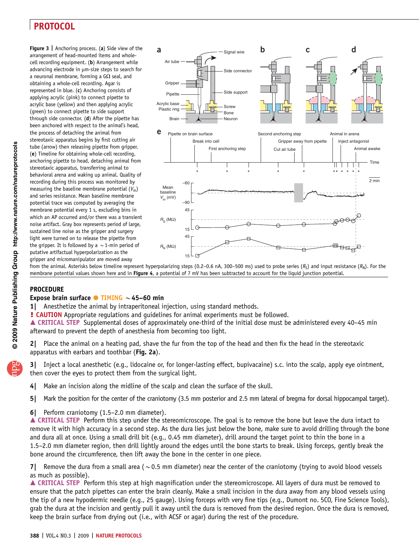**Figure 3** | Anchoring process. (a) Side view of the arrangement of head-mounted items and wholecell recording equipment. (b) Arrangement while advancing electrode in  $\mu$ m-size steps to search for a neuronal membrane, forming a  $G\Omega$  seal, and obtaining a whole-cell recording. Agar is represented in blue. (c) Anchoring consists of applying acrylic (pink) to connect pipette to acrylic base (yellow) and then applying acrylic (green) to connect pipette to side support through side connector.  $(d)$  After the pipette has been anchored with respect to the animal's head, the process of detaching the animal from stereotaxic apparatus begins by first cutting air tube (arrow) then releasing pipette from gripper. (e) Timeline for obtaining whole-cell recording, anchoring pipette to head, detaching animal from stereotaxic apparatus, transferring animal to behavioral arena and waking up animal. Quality of recording during this process was monitored by measuring the baseline membrane potential  $(V_m)$ and series resistance. Mean baseline membrane potential trace was computed by averaging the membrane potential every 1 s, excluding bins in which an AP occurred and/or there was a transient noise artifact. Gray box represents period of large, sustained line noise as the gripper and surgery light were turned on to release the pipette from the gripper. It is followed by a  $\sim$  1-min period of putative artifactual hyperpolarization as the gripper and micromanipulator are moved away



from the animal. Asterisks below timeline represent hyperpolarizing steps (0.2–0.6 nA, 300–500 ms) used to probe series ( $R_S$ ) and input resistance ( $R_N$ ). For the membrane potential values shown here and in Figure 4, a potential of 7 mV has been subtracted to account for the liquid junction potential.

#### **PROCEDURE**

# $\frac{20}{2}$  Expose brain surface  $\bullet$  TIMING  $\sim$  45–60 min

1| Anesthetize the animal by intraperitoneal injection, using standard methods.

! CAUTION Appropriate regulations and guidelines for animal experiments must be followed.

 $\triangle$  CRITICAL STEP Supplemental doses of approximately one-third of the initial dose must be administered every 40-45 min afterward to prevent the depth of anesthesia from becoming too light.

2| Place the animal on a heating pad, shave the fur from the top of the head and then fix the head in the stereotaxic apparatus with earbars and toothbar (Fig. 2a).

3| Inject a local anesthetic (e.g., lidocaine or, for longer-lasting effect, bupivacaine) s.c. into the scalp, apply eye ointment, then cover the eyes to protect them from the surgical light.

- 4| Make an incision along the midline of the scalp and clean the surface of the skull.
- 5| Mark the position for the center of the craniotomy (3.5 mm posterior and 2.5 mm lateral of bregma for dorsal hippocampal target).
- 6| Perform craniotomy (1.5–2.0 mm diameter).

■ CRITICAL STEP Perform this step under the stereomicroscope. The goal is to remove the bone but leave the dura intact to remove it with high accuracy in a second step. As the dura lies just below the bone, make sure to avoid drilling through the bone and dura all at once. Using a small drill bit (e.g., 0.45 mm diameter), drill around the target point to thin the bone in a 1.5–2.0 mm diameter region, then drill lightly around the edges until the bone starts to break. Using forceps, gently break the bone around the circumference, then lift away the bone in the center in one piece.

7| Remove the dura from a small area ( $\sim$  0.5 mm diameter) near the center of the craniotomy (trying to avoid blood vessels as much as possible).

▲ CRITICAL STEP Perform this step at high magnification under the stereomicroscope. All layers of dura must be removed to ensure that the patch pipettes can enter the brain cleanly. Make a small incision in the dura away from any blood vessels using the tip of a new hypodermic needle (e.g., 25 gauge). Using forceps with very fine tips (e.g., Dumont no. 5CO, Fine Science Tools), grab the dura at the incision and gently pull it away until the dura is removed from the desired region. Once the dura is removed, keep the brain surface from drying out (i.e., with ACSF or agar) during the rest of the procedure.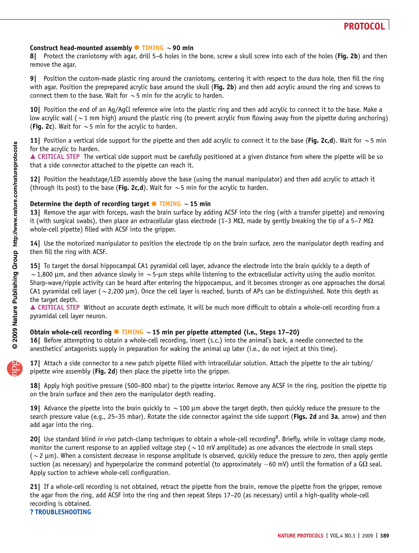# Construct head-mounted assembly  $\bullet$  TIMING  $\sim$  90 min

8| Protect the craniotomy with agar, drill 5–6 holes in the bone, screw a skull screw into each of the holes (Fig. 2b) and then remove the agar.

9| Position the custom-made plastic ring around the craniotomy, centering it with respect to the dura hole, then fill the ring with agar. Position the preprepared acrylic base around the skull (Fig. 2b) and then add acrylic around the ring and screws to connect them to the base. Wait for  $\sim$  5 min for the acrylic to harden.

10| Position the end of an Ag/AgCl reference wire into the plastic ring and then add acrylic to connect it to the base. Make a low acrylic wall ( $\sim$  1 mm high) around the plastic ring (to prevent acrylic from flowing away from the pipette during anchoring) (Fig. 2c). Wait for  $\sim$  5 min for the acrylic to harden.

11| Position a vertical side support for the pipette and then add acrylic to connect it to the base (Fig. 2c,d). Wait for  $\sim$  5 min for the acrylic to harden.

▲ CRITICAL STEP The vertical side support must be carefully positioned at a given distance from where the pipette will be so that a side connector attached to the pipette can reach it.

12| Position the headstage/LED assembly above the base (using the manual manipulator) and then add acrylic to attach it (through its post) to the base (Fig. 2c,d). Wait for  $\sim$  5 min for the acrylic to harden.

# Determine the depth of recording target  $\bullet$  TIMING  $\sim$  15 min

13| Remove the agar with forceps, wash the brain surface by adding ACSF into the ring (with a transfer pipette) and removing it (with surgical swabs), then place an extracellular glass electrode (1–3 M $\Omega$ , made by gently breaking the tip of a 5–7 M $\Omega$ whole-cell pipette) filled with ACSF into the gripper.

14| Use the motorized manipulator to position the electrode tip on the brain surface, zero the manipulator depth reading and then fill the ring with ACSF.

15| To target the dorsal hippocampal CA1 pyramidal cell layer, advance the electrode into the brain quickly to a depth of  $\sim$  1,800 µm, and then advance slowly in  $\sim$  5-µm steps while listening to the extracellular activity using the audio monitor. Sharp-wave/ripple activity can be heard after entering the hippocampus, and it becomes stronger as one approaches the dorsal CA1 pyramidal cell layer ( $\sim$ 2,200 µm). Once the cell layer is reached, bursts of APs can be distinguished. Note this depth as the target depth.

▲ CRITICAL STEP Without an accurate depth estimate, it will be much more difficult to obtain a whole-cell recording from a pyramidal cell layer neuron.

# Obtain whole-cell recording  $\bullet$  TIMING  $\sim$  15 min per pipette attempted (i.e., Steps 17–20)

16| Before attempting to obtain a whole-cell recording, insert (s.c.) into the animal's back, a needle connected to the anesthetics' antagonists supply in preparation for waking the animal up later (i.e., do not inject at this time).

17| Attach a side connector to a new patch pipette filled with intracellular solution. Attach the pipette to the air tubing/ pipette wire assembly (Fig. 2d) then place the pipette into the gripper.

18| Apply high positive pressure (500–800 mbar) to the pipette interior. Remove any ACSF in the ring, position the pipette tip on the brain surface and then zero the manipulator depth reading.

19| Advance the pipette into the brain quickly to  $\sim$  100 µm above the target depth, then quickly reduce the pressure to the search pressure value (e.g., 25–35 mbar). Rotate the side connector against the side support (Figs. 2d and 3a, arrow) and then add agar into the ring.

20| Use standard blind in vivo patch-clamp techniques to obtain a whole-cell recording<sup>8</sup>. Briefly, while in voltage clamp mode, monitor the current response to an applied voltage step ( $\sim$  10 mV amplitude) as one advances the electrode in small steps  $( $2 \mu m$ ). When a consistent decrease in response amplitude is observed, quickly reduce the pressure to zero, then apply gentle$ suction (as necessary) and hyperpolarize the command potential (to approximately  $-60$  mV) until the formation of a G $\Omega$  seal. Apply suction to achieve whole-cell configuration.

21| If a whole-cell recording is not obtained, retract the pipette from the brain, remove the pipette from the gripper, remove the agar from the ring, add ACSF into the ring and then repeat Steps 17–20 (as necessary) until a high-quality whole-cell recording is obtained.

#### ? TROUBLESHOOTING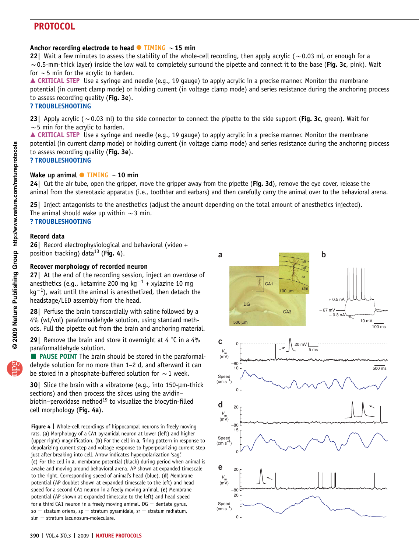# Anchor recording electrode to head  $\bullet$  TIMING  $\sim$  15 min

22| Wait a few minutes to assess the stability of the whole-cell recording, then apply acrylic ( $\sim$ 0.03 ml, or enough for a  $\sim$  0.5-mm-thick layer) inside the low wall to completely surround the pipette and connect it to the base (Fig. 3c, pink). Wait for  $\sim$  5 min for the acrylic to harden.

**A CRITICAL STEP** Use a syringe and needle (e.g., 19 gauge) to apply acrylic in a precise manner. Monitor the membrane potential (in current clamp mode) or holding current (in voltage clamp mode) and series resistance during the anchoring process to assess recording quality (Fig. 3e).

#### ? TROUBLESHOOTING

23| Apply acrylic ( $\sim$  0.03 ml) to the side connector to connect the pipette to the side support (Fig. 3c, green). Wait for  $\sim$  5 min for the acrylic to harden.

**A CRITICAL STEP** Use a syringe and needle (e.g., 19 gauge) to apply acrylic in a precise manner. Monitor the membrane potential (in current clamp mode) or holding current (in voltage clamp mode) and series resistance during the anchoring process to assess recording quality (Fig. 3e).

#### ? TROUBLESHOOTING

# Wake up animal  $\bullet$  TIMING  $\sim$  10 min

24 Cut the air tube, open the gripper, move the gripper away from the pipette (Fig. 3d), remove the eye cover, release the animal from the stereotaxic apparatus (i.e., toothbar and earbars) and then carefully carry the animal over to the behavioral arena.

25| Inject antagonists to the anesthetics (adjust the amount depending on the total amount of anesthetics injected). The animal should wake up within  $\sim$  3 min. ? TROUBLESHOOTING

#### Record data

26| Record electrophysiological and behavioral (video + position tracking) data<sup>13</sup> (Fig. 4).

#### Recover morphology of recorded neuron

27| At the end of the recording session, inject an overdose of anesthetics (e.g., ketamine 200 mg kg<sup>-1</sup> + xylazine 10 mg  $kq^{-1}$ ), wait until the animal is anesthetized, then detach the headstage/LED assembly from the head.

28| Perfuse the brain transcardially with saline followed by a 4% (wt/vol) paraformaldehyde solution, using standard methods. Pull the pipette out from the brain and anchoring material.

**29** Remove the brain and store it overnight at 4  $\degree$ C in a 4% paraformaldehyde solution.

**PAUSE POINT** The brain should be stored in the paraformaldehyde solution for no more than 1–2 d, and afterward it can be stored in a phosphate-buffered solution for  $\sim$  1 week.

30 Slice the brain with a vibratome (e.g., into  $150$ - $\mu$ m-thick sections) and then process the slices using the avidin– biotin–peroxidase method $19$  to visualize the biocytin-filled cell morphology (Fig. 4a).

Figure 4 | Whole-cell recordings of hippocampal neurons in freely moving rats. (a) Morphology of a CA1 pyramidal neuron at lower (left) and higher (upper right) magnification. (b) For the cell in  $a$ , firing pattern in response to depolarizing current step and voltage response to hyperpolarizing current step just after breaking into cell. Arrow indicates hyperpolarization 'sag.' (c) For the cell in a, membrane potential (black) during period when animal is awake and moving around behavioral arena. AP shown at expanded timescale to the right. Corresponding speed of animal's head (blue). (d) Membrane potential (AP doublet shown at expanded timescale to the left) and head speed for a second CA1 neuron in a freely moving animal. (e) Membrane potential (AP shown at expanded timescale to the left) and head speed for a third CA1 neuron in a freely moving animal.  $DG =$  dentate gyrus,  $so =$  stratum oriens,  $sp =$  stratum pyramidale,  $sr =$  stratum radiatum,  $slm =$  stratum lacunosum-moleculare.

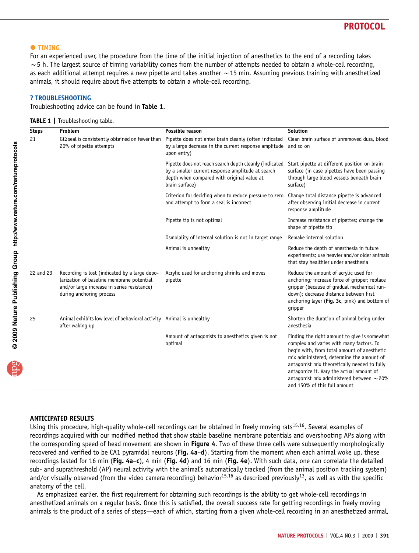# $\bullet$  TIMING

For an experienced user, the procedure from the time of the initial injection of anesthetics to the end of a recording takes  $\sim$  5 h. The largest source of timing variability comes from the number of attempts needed to obtain a whole-cell recording, as each additional attempt requires a new pipette and takes another  $\sim$  15 min. Assuming previous training with anesthetized animals, it should require about five attempts to obtain a whole-cell recording.

#### ? TROUBLESHOOTING

Troubleshooting advice can be found in Table 1.

TABLE 1 | Troubleshooting table.

| <b>Steps</b> | Problem                                                                                                                                                               | <b>Possible reason</b>                                                                                                                                                      | <b>Solution</b>                                                                                                                                                                                                                                                                                                                                                    |
|--------------|-----------------------------------------------------------------------------------------------------------------------------------------------------------------------|-----------------------------------------------------------------------------------------------------------------------------------------------------------------------------|--------------------------------------------------------------------------------------------------------------------------------------------------------------------------------------------------------------------------------------------------------------------------------------------------------------------------------------------------------------------|
| 21           | $G\Omega$ seal is consistently obtained on fewer than<br>20% of pipette attempts                                                                                      | Pipette does not enter brain cleanly (often indicated<br>by a large decrease in the current response amplitude and so on<br>upon entry)                                     | Clean brain surface of unremoved dura, blood                                                                                                                                                                                                                                                                                                                       |
|              |                                                                                                                                                                       | Pipette does not reach search depth cleanly (indicated<br>by a smaller current response amplitude at search<br>depth when compared with original value at<br>brain surface) | Start pipette at different position on brain<br>surface (in case pipettes have been passing<br>through large blood vessels beneath brain<br>surface)                                                                                                                                                                                                               |
|              |                                                                                                                                                                       | Criterion for deciding when to reduce pressure to zero<br>and attempt to form a seal is incorrect                                                                           | Change total distance pipette is advanced<br>after observing initial decrease in current<br>response amplitude                                                                                                                                                                                                                                                     |
|              |                                                                                                                                                                       | Pipette tip is not optimal                                                                                                                                                  | Increase resistance of pipettes; change the<br>shape of pipette tip                                                                                                                                                                                                                                                                                                |
|              |                                                                                                                                                                       | Osmolality of internal solution is not in target range                                                                                                                      | Remake internal solution                                                                                                                                                                                                                                                                                                                                           |
|              |                                                                                                                                                                       | Animal is unhealthy                                                                                                                                                         | Reduce the depth of anesthesia in future<br>experiments; use heavier and/or older animals<br>that stay healthier under anesthesia                                                                                                                                                                                                                                  |
| 22 and 23    | Recording is lost (indicated by a large depo-<br>larization of baseline membrane potential<br>and/or large increase in series resistance)<br>during anchoring process | Acrylic used for anchoring shrinks and moves<br>pipette                                                                                                                     | Reduce the amount of acrylic used for<br>anchoring; increase force of gripper; replace<br>qripper (because of gradual mechanical run-<br>down); decrease distance between first<br>anchoring layer (Fig. 3c, pink) and bottom of<br>gripper                                                                                                                        |
| 25           | Animal exhibits low level of behavioral activity Animal is unhealthy<br>after waking up                                                                               |                                                                                                                                                                             | Shorten the duration of animal being under<br>anesthesia                                                                                                                                                                                                                                                                                                           |
|              |                                                                                                                                                                       | Amount of antagonists to anesthetics given is not<br>optimal                                                                                                                | Finding the right amount to give is somewhat<br>complex and varies with many factors. To<br>begin with, from total amount of anesthetic<br>mix administered, determine the amount of<br>antagonist mix theoretically needed to fully<br>antagonize it. Vary the actual amount of<br>antagonist mix administered between $\sim$ 20%<br>and 150% of this full amount |

#### ANTICIPATED RESULTS

Using this procedure, high-quality whole-cell recordings can be obtained in freely moving rats<sup>15,16</sup>. Several examples of recordings acquired with our modified method that show stable baseline membrane potentials and overshooting APs along with the corresponding speed of head movement are shown in Figure 4. Two of these three cells were subsequently morphologically recovered and verified to be CA1 pyramidal neurons (Fig. 4a–d). Starting from the moment when each animal woke up, these recordings lasted for 16 min (Fig. 4a–c), 4 min (Fig. 4d) and 16 min (Fig. 4e). With such data, one can correlate the detailed sub- and suprathreshold (AP) neural activity with the animal's automatically tracked (from the animal position tracking system) and/or visually observed (from the video camera recording) behavior<sup>15,16</sup> as described previously<sup>13</sup>, as well as with the specific anatomy of the cell.

As emphasized earlier, the first requirement for obtaining such recordings is the ability to get whole-cell recordings in anesthetized animals on a regular basis. Once this is satisfied, the overall success rate for getting recordings in freely moving animals is the product of a series of steps—each of which, starting from a given whole-cell recording in an anesthetized animal,